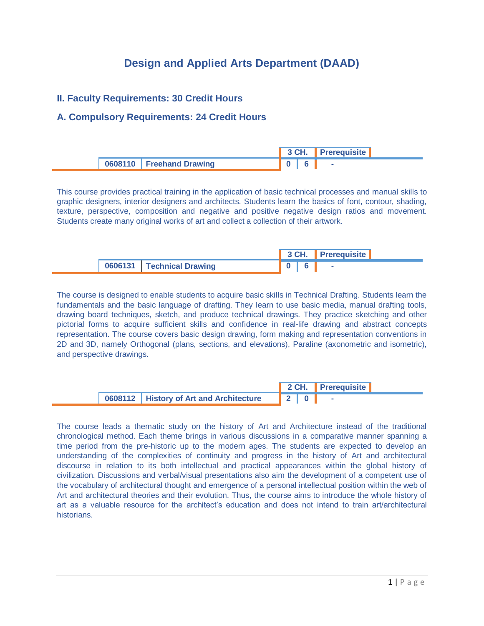# **Design and Applied Arts Department (DAAD)**

#### **II. Faculty Requirements: 30 Credit Hours**

### **A. Compulsory Requirements: 24 Credit Hours**

|                            | - 3 CH. | <b>Prerequisite</b> |
|----------------------------|---------|---------------------|
| 0608110   Freehand Drawing |         |                     |

This course provides practical training in the application of basic technical processes and manual skills to graphic designers, interior designers and architects. Students learn the basics of font, contour, shading, texture, perspective, composition and negative and positive negative design ratios and movement. Students create many original works of art and collect a collection of their artwork.

|                             |  | 3 CH. Prerequisite |  |
|-----------------------------|--|--------------------|--|
| 0606131   Technical Drawing |  |                    |  |

The course is designed to enable students to acquire basic skills in Technical Drafting. Students learn the fundamentals and the basic language of drafting. They learn to use basic media, manual drafting tools, drawing board techniques, sketch, and produce technical drawings. They practice sketching and other pictorial forms to acquire sufficient skills and confidence in real-life drawing and abstract concepts representation. The course covers basic design drawing, form making and representation conventions in 2D and 3D, namely Orthogonal (plans, sections, and elevations), Paraline (axonometric and isometric), and perspective drawings.

|                                                        |  | 2 CH. Prerequisite |
|--------------------------------------------------------|--|--------------------|
| <sup>1</sup> 0608112   History of Art and Architecture |  |                    |

The course leads a thematic study on the history of Art and Architecture instead of the traditional chronological method. Each theme brings in various discussions in a comparative manner spanning a time period from the pre-historic up to the modern ages. The students are expected to develop an understanding of the complexities of continuity and progress in the history of Art and architectural discourse in relation to its both intellectual and practical appearances within the global history of civilization. Discussions and verbal/visual presentations also aim the development of a competent use of the vocabulary of architectural thought and emergence of a personal intellectual position within the web of Art and architectural theories and their evolution. Thus, the course aims to introduce the whole history of art as a valuable resource for the architect's education and does not intend to train art/architectural historians.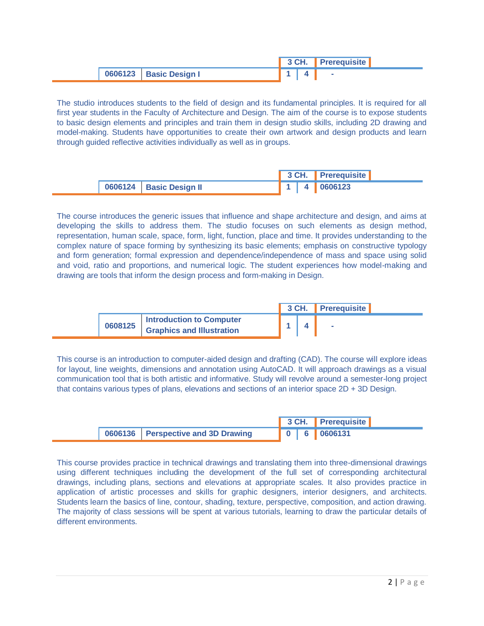|                          |  | 3 CH. Prerequisite |  |
|--------------------------|--|--------------------|--|
| 0606123   Basic Design I |  |                    |  |

The studio introduces students to the field of design and its fundamental principles. It is required for all first year students in the Faculty of Architecture and Design. The aim of the course is to expose students to basic design elements and principles and train them in design studio skills, including 2D drawing and model-making. Students have opportunities to create their own artwork and design products and learn through guided reflective activities individually as well as in groups.

|                           |  | 3 CH. Prerequisite          |
|---------------------------|--|-----------------------------|
| 0606124   Basic Design II |  | $\parallel$ 1   4   0606123 |

The course introduces the generic issues that influence and shape architecture and design, and aims at developing the skills to address them. The studio focuses on such elements as design method, representation, human scale, space, form, light, function, place and time. It provides understanding to the complex nature of space forming by synthesizing its basic elements; emphasis on constructive typology and form generation; formal expression and dependence/independence of mass and space using solid and void, ratio and proportions, and numerical logic. The student experiences how model-making and drawing are tools that inform the design process and form-making in Design.

|         |                                                              |  |  | 3 CH. Prerequisite |  |
|---------|--------------------------------------------------------------|--|--|--------------------|--|
| 0608125 | Introduction to Computer<br><b>Graphics and Illustration</b> |  |  |                    |  |

This course is an introduction to computer-aided design and drafting (CAD). The course will explore ideas for layout, line weights, dimensions and annotation using AutoCAD. It will approach drawings as a visual communication tool that is both artistic and informative. Study will revolve around a semester-long project that contains various types of plans, elevations and sections of an interior space 2D + 3D Design.

|                                    |  |  | 3 CH. Prerequisite              |
|------------------------------------|--|--|---------------------------------|
| 0606136 Perspective and 3D Drawing |  |  | $\vert 0 \vert 6 \vert 0606131$ |

This course provides practice in technical drawings and translating them into three-dimensional drawings using different techniques including the development of the full set of corresponding architectural drawings, including plans, sections and elevations at appropriate scales. It also provides practice in application of artistic processes and skills for graphic designers, interior designers, and architects. Students learn the basics of line, contour, shading, texture, perspective, composition, and action drawing. The majority of class sessions will be spent at various tutorials, learning to draw the particular details of different environments.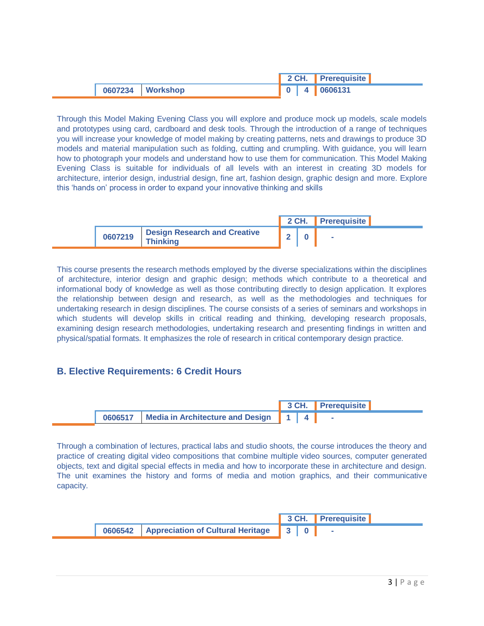|                    |  | 2 CH. Prerequisite                                                                                                 |  |
|--------------------|--|--------------------------------------------------------------------------------------------------------------------|--|
| 0607234   Workshop |  | $\begin{array}{ c c c c c } \hline \hline \multicolumn{1}{ c }{\hspace{1.2cm}} 0 & 4 & 0606131 \hline \end{array}$ |  |

Through this Model Making Evening Class you will explore and produce mock up models, scale models and prototypes using card, cardboard and desk tools. Through the introduction of a range of techniques you will increase your knowledge of model making by creating patterns, nets and drawings to produce 3D models and material manipulation such as folding, cutting and crumpling. With guidance, you will learn how to photograph your models and understand how to use them for communication. This Model Making Evening Class is suitable for individuals of all levels with an interest in creating 3D models for architecture, interior design, industrial design, fine art, fashion design, graphic design and more. Explore this 'hands on' process in order to expand your innovative thinking and skills

|         |                                                 |  | 2 CH. Prerequisite |  |
|---------|-------------------------------------------------|--|--------------------|--|
| 0607219 | <b>Design Research and Creative</b><br>Thinking |  | <b>COL</b>         |  |

This course presents the research methods employed by the diverse specializations within the disciplines of architecture, interior design and graphic design; methods which contribute to a theoretical and informational body of knowledge as well as those contributing directly to design application. It explores the relationship between design and research, as well as the methodologies and techniques for undertaking research in design disciplines. The course consists of a series of seminars and workshops in which students will develop skills in critical reading and thinking, developing research proposals, examining design research methodologies, undertaking research and presenting findings in written and physical/spatial formats. It emphasizes the role of research in critical contemporary design practice.

#### **B. Elective Requirements: 6 Credit Hours**



Through a combination of lectures, practical labs and studio shoots, the course introduces the theory and practice of creating digital video compositions that combine multiple video sources, computer generated objects, text and digital special effects in media and how to incorporate these in architecture and design. The unit examines the history and forms of media and motion graphics, and their communicative capacity.

|                                                 |  | 3 CH. Prerequisite |
|-------------------------------------------------|--|--------------------|
| 0606542   Appreciation of Cultural Heritage 3 0 |  |                    |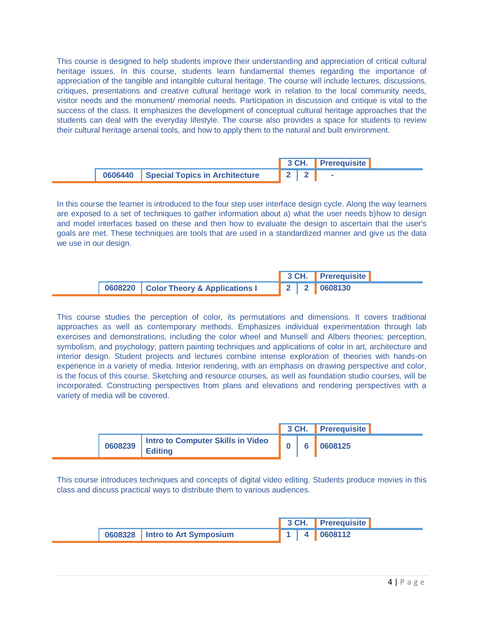This course is designed to help students improve their understanding and appreciation of critical cultural heritage issues. In this course, students learn fundamental themes regarding the importance of appreciation of the tangible and intangible cultural heritage. The course will include lectures, discussions, critiques, presentations and creative cultural heritage work in relation to the local community needs, visitor needs and the monument/ memorial needs. Participation in discussion and critique is vital to the success of the class. It emphasizes the development of conceptual cultural heritage approaches that the students can deal with the everyday lifestyle. The course also provides a space for students to review their cultural heritage arsenal tools, and how to apply them to the natural and built environment.

|                                          |  |     | 3 CH. Prerequisite |
|------------------------------------------|--|-----|--------------------|
| 0606440   Special Topics in Architecture |  | 122 |                    |

In this course the learner is introduced to the four step user interface design cycle. Along the way learners are exposed to a set of techniques to gather information about a) what the user needs b)how to design and model interfaces based on these and then how to evaluate the design to ascertain that the user's goals are met. These techniques are tools that are used in a standardized manner and give us the data we use in our design.

|  |                                       |             |  | 3 CH. Prerequisite |  |
|--|---------------------------------------|-------------|--|--------------------|--|
|  | 0608220 Color Theory & Applications I | 2 2 0608130 |  |                    |  |

This course studies the perception of color, its permutations and dimensions. It covers traditional approaches as well as contemporary methods. Emphasizes individual experimentation through lab exercises and demonstrations, including the color wheel and Munsell and Albers theories; perception, symbolism, and psychology; pattern painting techniques and applications of color in art, architecture and interior design. Student projects and lectures combine intense exploration of theories with hands-on experience in a variety of media. Interior rendering, with an emphasis on drawing perspective and color, is the focus of this course. Sketching and resource courses, as well as foundation studio courses, will be incorporated. Constructing perspectives from plans and elevations and rendering perspectives with a variety of media will be covered.

|         |                                                       |  | 3 CH. Prerequisite |
|---------|-------------------------------------------------------|--|--------------------|
| 0608239 | I Intro to Computer Skills in Video<br><b>Editing</b> |  | 0608125            |

This course introduces techniques and concepts of digital video editing. Students produce movies in this class and discuss practical ways to distribute them to various audiences.

|                                |  | 3 CH. Prerequisite |
|--------------------------------|--|--------------------|
| 0608328 Intro to Art Symposium |  | 1 4 0608112        |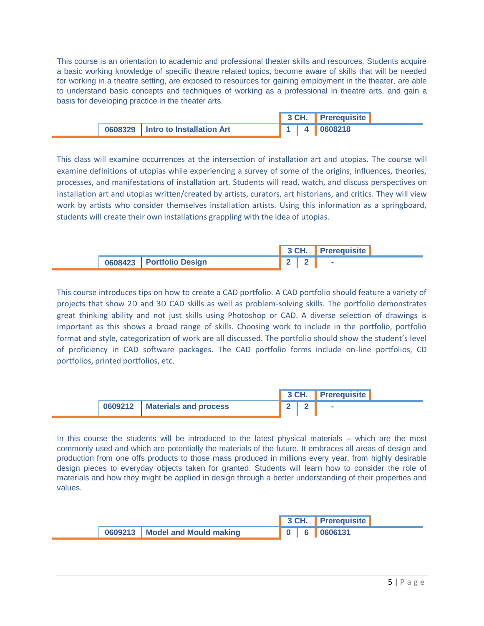This course is an orientation to academic and professional theater skills and resources. Students acquire a basic working knowledge of specific theatre related topics, become aware of skills that will be needed for working in a theatre setting, are exposed to resources for gaining employment in the theater, are able to understand basic concepts and techniques of working as a professional in theatre arts, and gain a basis for developing practice in the theater arts.

|                                     |  | 3 CH. Prerequisite                                        |  |
|-------------------------------------|--|-----------------------------------------------------------|--|
| 0608329   Intro to Installation Art |  | $\begin{array}{ c c c c c } \hline \end{array}$ 4 0608218 |  |

This class will examine occurrences at the intersection of installation art and utopias. The course will examine definitions of utopias while experiencing a survey of some of the origins, influences, theories, processes, and manifestations of installation art. Students will read, watch, and discuss perspectives on installation art and utopias written/created by artists, curators, art historians, and critics. They will view work by artists who consider themselves installation artists. Using this information as a springboard, students will create their own installations grappling with the idea of utopias.

|                          | 3 CH. | <b>Prerequisite</b> |
|--------------------------|-------|---------------------|
| 0608423 Portfolio Design |       |                     |

This course introduces tips on how to create a CAD portfolio. A CAD portfolio should feature a variety of projects that show 2D and 3D CAD skills as well as problem-solving skills. The portfolio demonstrates great thinking ability and not just skills using Photoshop or CAD. A diverse selection of drawings is important as this shows a broad range of skills. Choosing work to include in the portfolio, portfolio format and style, categorization of work are all discussed. The portfolio should show the student's level of proficiency in CAD software packages. The CAD portfolio forms include on-line portfolios, CD portfolios, printed portfolios, etc.

|                                 |  | 3 CH. Prerequisite |
|---------------------------------|--|--------------------|
| 0609212   Materials and process |  |                    |

In this course the students will be introduced to the latest physical materials – which are the most commonly used and which are potentially the materials of the future. It embraces all areas of design and production from one offs products to those mass produced in millions every year, from highly desirable design pieces to everyday objects taken for granted. Students will learn how to consider the role of materials and how they might be applied in design through a better understanding of their properties and values.

|                                  |  | 3 CH. Prerequisite |
|----------------------------------|--|--------------------|
| 0609213   Model and Mould making |  | 0 6 0606131        |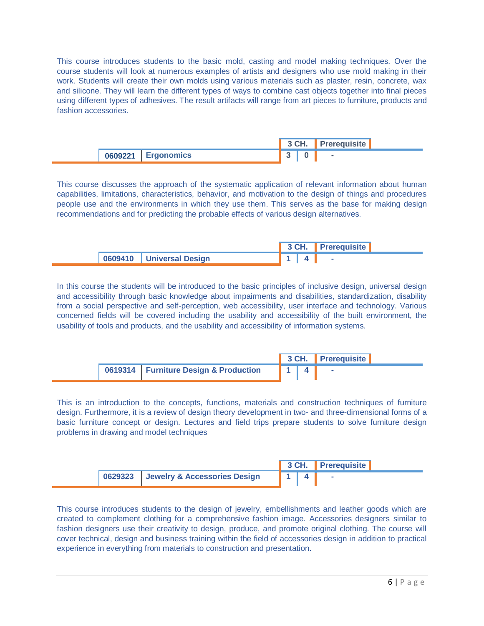This course introduces students to the basic mold, casting and model making techniques. Over the course students will look at numerous examples of artists and designers who use mold making in their work. Students will create their own molds using various materials such as plaster, resin, concrete, wax and silicone. They will learn the different types of ways to combine cast objects together into final pieces using different types of adhesives. The result artifacts will range from art pieces to furniture, products and fashion accessories.

|                    | <b>1</b> 3 CH. | <b>I</b> Prerequisite |
|--------------------|----------------|-----------------------|
| 0609221 Ergonomics |                | $\blacksquare$        |

This course discusses the approach of the systematic application of relevant information about human capabilities, limitations, characteristics, behavior, and motivation to the design of things and procedures people use and the environments in which they use them. This serves as the base for making design recommendations and for predicting the probable effects of various design alternatives.

|                            |  | 3 CH. Prerequisite |
|----------------------------|--|--------------------|
| 0609410   Universal Design |  |                    |

In this course the students will be introduced to the basic principles of inclusive design, universal design and accessibility through basic knowledge about impairments and disabilities, standardization, disability from a social perspective and self-perception, web accessibility, user interface and technology. Various concerned fields will be covered including the usability and accessibility of the built environment, the usability of tools and products, and the usability and accessibility of information systems.



This is an introduction to the concepts, functions, materials and construction techniques of furniture design. Furthermore, it is a review of design theory development in two- and three-dimensional forms of a basic furniture concept or design. Lectures and field trips prepare students to solve furniture design problems in drawing and model techniques



This course introduces students to the design of jewelry, embellishments and leather goods which are created to complement clothing for a comprehensive fashion image. Accessories designers similar to fashion designers use their creativity to design, produce, and promote original clothing. The course will cover technical, design and business training within the field of accessories design in addition to practical experience in everything from materials to construction and presentation.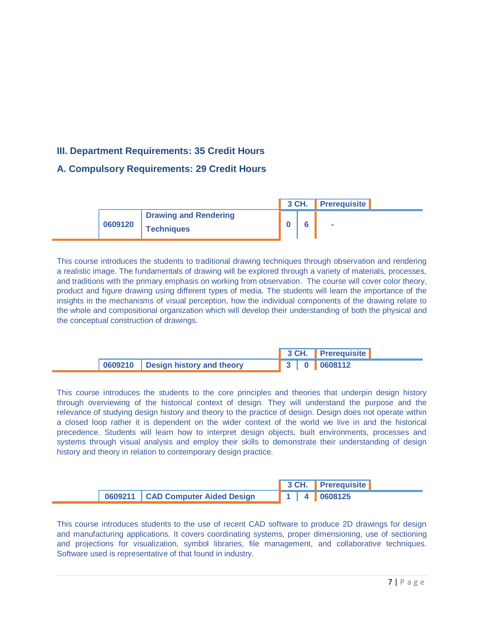# **III. Department Requirements: 35 Credit Hours**

## **A. Compulsory Requirements: 29 Credit Hours**

|         |                                                   | 3 CH. | <b>Prerequisite</b> |  |
|---------|---------------------------------------------------|-------|---------------------|--|
| 0609120 | <b>Drawing and Rendering</b><br><b>Techniques</b> |       | <b>COL</b>          |  |

This course introduces the students to traditional drawing techniques through observation and rendering a realistic image. The fundamentals of drawing will be explored through a variety of materials, processes, and traditions with the primary emphasis on working from observation. The course will cover color theory, product and figure drawing using different types of media. The students will learn the importance of the insights in the mechanisms of visual perception, how the individual components of the drawing relate to the whole and compositional organization which will develop their understanding of both the physical and the conceptual construction of drawings.

|                                     |  | 3 CH. Prerequisite |  |
|-------------------------------------|--|--------------------|--|
| 0609210   Design history and theory |  | 3 0 0608112        |  |

This course introduces the students to the core principles and theories that underpin design history through overviewing of the historical context of design. They will understand the purpose and the relevance of studying design history and theory to the practice of design. Design does not operate within a closed loop rather it is dependent on the wider context of the world we live in and the historical precedence. Students will learn how to interpret design objects, built environments, processes and systems through visual analysis and employ their skills to demonstrate their understanding of design history and theory in relation to contemporary design practice.

|                                     |  | 3 CH. Prerequisite          |
|-------------------------------------|--|-----------------------------|
| 0609211   CAD Computer Aided Design |  | $\parallel$ 1   4   0608125 |

This course introduces students to the use of recent CAD software to produce 2D drawings for design and manufacturing applications. It covers coordinating systems, proper dimensioning, use of sectioning and projections for visualization, symbol libraries, file management, and collaborative techniques. Software used is representative of that found in industry.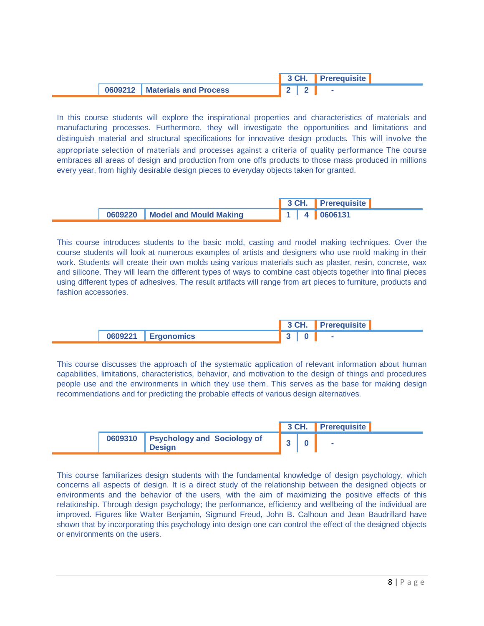|                                 | $\overline{\phantom{a}}$ 2 $\overline{\phantom{a}}$ 2 $\overline{\phantom{a}}$ 2 $\overline{\phantom{a}}$ 2 $\overline{\phantom{a}}$ | ∎ Prerequisite <b>■</b> |
|---------------------------------|--------------------------------------------------------------------------------------------------------------------------------------|-------------------------|
| 0609212   Materials and Process |                                                                                                                                      | $\sim$                  |

In this course students will explore the inspirational properties and characteristics of materials and manufacturing processes. Furthermore, they will investigate the opportunities and limitations and distinguish material and structural specifications for innovative design products. This will involve the appropriate selection of materials and processes against a criteria of quality performance The course embraces all areas of design and production from one offs products to those mass produced in millions every year, from highly desirable design pieces to everyday objects taken for granted.

|                                  |  | 3 CH. Prerequisite          |
|----------------------------------|--|-----------------------------|
| 0609220   Model and Mould Making |  | $\parallel$ 1   4   0606131 |

This course introduces students to the basic mold, casting and model making techniques. Over the course students will look at numerous examples of artists and designers who use mold making in their work. Students will create their own molds using various materials such as plaster, resin, concrete, wax and silicone. They will learn the different types of ways to combine cast objects together into final pieces using different types of adhesives. The result artifacts will range from art pieces to furniture, products and fashion accessories.

|         |                   |  | 3 CH. Prerequisite |
|---------|-------------------|--|--------------------|
| 0609221 | <b>Ergonomics</b> |  |                    |

This course discusses the approach of the systematic application of relevant information about human capabilities, limitations, characteristics, behavior, and motivation to the design of things and procedures people use and the environments in which they use them. This serves as the base for making design recommendations and for predicting the probable effects of various design alternatives.

|                                                        |  | 3 CH. Prerequisite |
|--------------------------------------------------------|--|--------------------|
| 0609310   Psychology and Sociology of<br><b>Design</b> |  |                    |

This course familiarizes design students with the fundamental knowledge of design psychology, which concerns all aspects of design. It is a direct study of the relationship between the designed objects or environments and the behavior of the users, with the aim of maximizing the positive effects of this relationship. Through design psychology; the performance, efficiency and wellbeing of the individual are improved. Figures like Walter Benjamin, Sigmund Freud, John B. Calhoun and Jean Baudrillard have shown that by incorporating this psychology into design one can control the effect of the designed objects or environments on the users.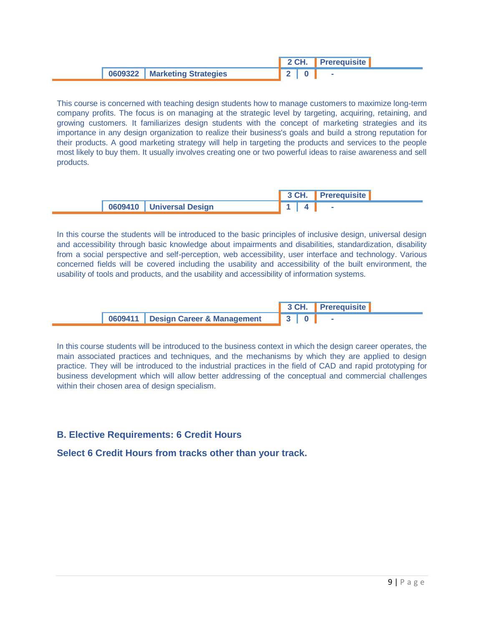|                                |  | 2 CH. Prerequisite |  |
|--------------------------------|--|--------------------|--|
| 0609322   Marketing Strategies |  |                    |  |

This course is concerned with teaching design students how to manage customers to maximize long-term company profits. The focus is on managing at the strategic level by targeting, acquiring, retaining, and growing customers. It familiarizes design students with the concept of marketing strategies and its importance in any design organization to realize their business's goals and build a strong reputation for their products. A good marketing strategy will help in targeting the products and services to the people most likely to buy them. It usually involves creating one or two powerful ideas to raise awareness and sell products.

|  |                              |  | 3 CH. Prerequisite |  |
|--|------------------------------|--|--------------------|--|
|  | 1 0609410   Universal Design |  |                    |  |

In this course the students will be introduced to the basic principles of inclusive design, universal design and accessibility through basic knowledge about impairments and disabilities, standardization, disability from a social perspective and self-perception, web accessibility, user interface and technology. Various concerned fields will be covered including the usability and accessibility of the built environment, the usability of tools and products, and the usability and accessibility of information systems.

|  |                                      |                             | 3 CH. Prerequisite |  |
|--|--------------------------------------|-----------------------------|--------------------|--|
|  | 0609411   Design Career & Management | $\parallel$ 3 $\parallel$ 0 |                    |  |

In this course students will be introduced to the business context in which the design career operates, the main associated practices and techniques, and the mechanisms by which they are applied to design practice. They will be introduced to the industrial practices in the field of CAD and rapid prototyping for business development which will allow better addressing of the conceptual and commercial challenges within their chosen area of design specialism.

## **B. Elective Requirements: 6 Credit Hours**

**Select 6 Credit Hours from tracks other than your track.**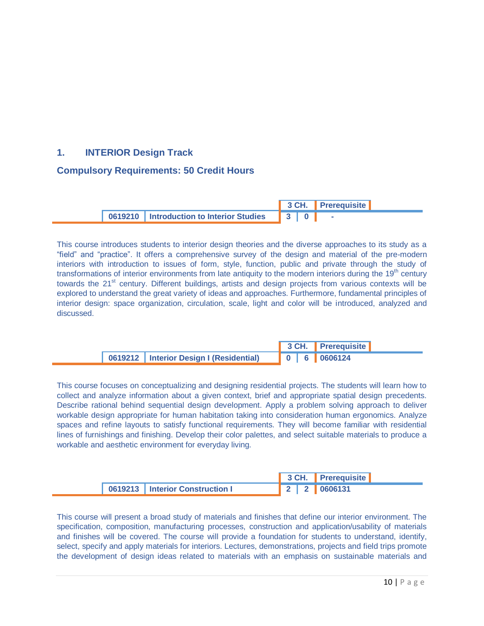# **1. INTERIOR Design Track**

#### **Compulsory Requirements: 50 Credit Hours**

|  |                                             |                                         | 3 CH. Prerequisite |  |
|--|---------------------------------------------|-----------------------------------------|--------------------|--|
|  | 10619210   Introduction to Interior Studies | $\parallel$ 3 $\parallel$ 0 $\parallel$ |                    |  |

This course introduces students to interior design theories and the diverse approaches to its study as a "field" and "practice". It offers a comprehensive survey of the design and material of the pre-modern interiors with introduction to issues of form, style, function, public and private through the study of transformations of interior environments from late antiquity to the modern interiors during the  $19<sup>th</sup>$  century towards the 21<sup>st</sup> century. Different buildings, artists and design projects from various contexts will be explored to understand the great variety of ideas and approaches. Furthermore, fundamental principles of interior design: space organization, circulation, scale, light and color will be introduced, analyzed and discussed.

|                                           |  | 3 CH. Prerequisite |
|-------------------------------------------|--|--------------------|
| 0619212   Interior Design I (Residential) |  | 0 6 0606124        |

This course focuses on conceptualizing and designing residential projects. The students will learn how to collect and analyze information about a given context, brief and appropriate spatial design precedents. Describe rational behind sequential design development. Apply a problem solving approach to deliver workable design appropriate for human habitation taking into consideration human ergonomics. Analyze spaces and refine layouts to satisfy functional requirements. They will become familiar with residential lines of furnishings and finishing. Develop their color palettes, and select suitable materials to produce a workable and aesthetic environment for everyday living.

|                                   |  | 3 CH. Prerequisite |
|-----------------------------------|--|--------------------|
| 0619213   Interior Construction I |  | 2   2   0606131    |

This course will present a broad study of materials and finishes that define our interior environment. The specification, composition, manufacturing processes, construction and application/usability of materials and finishes will be covered. The course will provide a foundation for students to understand, identify, select, specify and apply materials for interiors. Lectures, demonstrations, projects and field trips promote the development of design ideas related to materials with an emphasis on sustainable materials and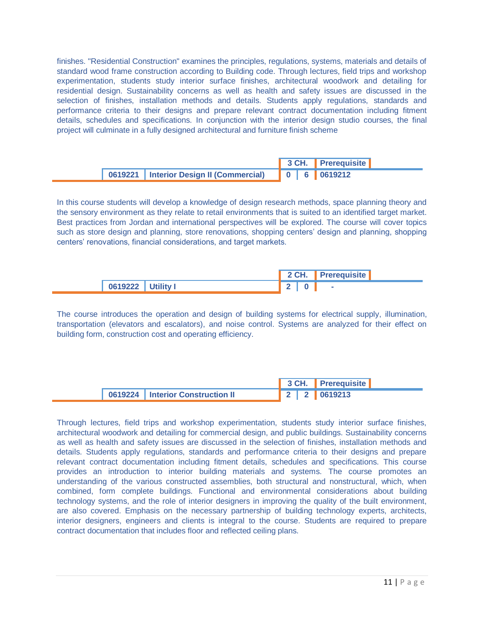finishes. "Residential Construction" examines the principles, regulations, systems, materials and details of standard wood frame construction according to Building code. Through lectures, field trips and workshop experimentation, students study interior surface finishes, architectural woodwork and detailing for residential design. Sustainability concerns as well as health and safety issues are discussed in the selection of finishes, installation methods and details. Students apply regulations, standards and performance criteria to their designs and prepare relevant contract documentation including fitment details, schedules and specifications. In conjunction with the interior design studio courses, the final project will culminate in a fully designed architectural and furniture finish scheme

|                                           |  | 3 CH. Prerequisite |
|-------------------------------------------|--|--------------------|
| 0619221   Interior Design II (Commercial) |  | 0 6 0619212        |

In this course students will develop a knowledge of design research methods, space planning theory and the sensory environment as they relate to retail environments that is suited to an identified target market. Best practices from Jordan and international perspectives will be explored. The course will cover topics such as store design and planning, store renovations, shopping centers' design and planning, shopping centers' renovations, financial considerations, and target markets.

|                   | 2 CH. Prerequisite |
|-------------------|--------------------|
| 0619222 Utility I |                    |

The course introduces the operation and design of building systems for electrical supply, illumination, transportation (elevators and escalators), and noise control. Systems are analyzed for their effect on building form, construction cost and operating efficiency.

|                                    |  | 3 CH. Prerequisite |
|------------------------------------|--|--------------------|
| 0619224   Interior Construction II |  | 2 2 0619213        |

Through lectures, field trips and workshop experimentation, students study interior surface finishes, architectural woodwork and detailing for commercial design, and public buildings. Sustainability concerns as well as health and safety issues are discussed in the selection of finishes, installation methods and details. Students apply regulations, standards and performance criteria to their designs and prepare relevant contract documentation including fitment details, schedules and specifications. This course provides an introduction to interior building materials and systems. The course promotes an understanding of the various constructed assemblies, both structural and nonstructural, which, when combined, form complete buildings. Functional and environmental considerations about building technology systems, and the role of interior designers in improving the quality of the built environment, are also covered. Emphasis on the necessary partnership of building technology experts, architects, interior designers, engineers and clients is integral to the course. Students are required to prepare contract documentation that includes floor and reflected ceiling plans.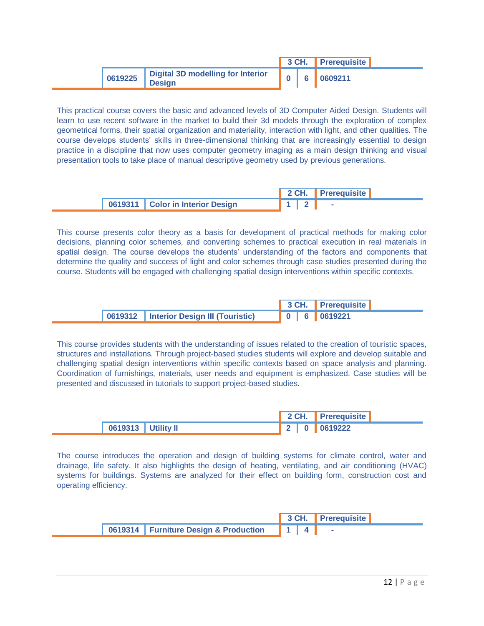|         |                                                    |  | 3 CH. Prerequisite |
|---------|----------------------------------------------------|--|--------------------|
| 0619225 | Digital 3D modelling for Interior<br><b>Design</b> |  | 6 0609211          |

This practical course covers the basic and advanced levels of 3D Computer Aided Design. Students will learn to use recent software in the market to build their 3d models through the exploration of complex geometrical forms, their spatial organization and materiality, interaction with light, and other qualities. The course develops students' skills in three-dimensional thinking that are increasingly essential to design practice in a discipline that now uses computer geometry imaging as a main design thinking and visual presentation tools to take place of manual descriptive geometry used by previous generations.

|  |                                    |  |  | 2 CH. Prerequisite |  |
|--|------------------------------------|--|--|--------------------|--|
|  | 0619311   Color in Interior Design |  |  |                    |  |

This course presents color theory as a basis for development of practical methods for making color decisions, planning color schemes, and converting schemes to practical execution in real materials in spatial design. The course develops the students' understanding of the factors and components that determine the quality and success of light and color schemes through case studies presented during the course. Students will be engaged with challenging spatial design interventions within specific contexts.

|                                           |  | 3 CH. Prerequisite |
|-------------------------------------------|--|--------------------|
| 0619312   Interior Design III (Touristic) |  |                    |

This course provides students with the understanding of issues related to the creation of touristic spaces, structures and installations. Through project-based studies students will explore and develop suitable and challenging spatial design interventions within specific contexts based on space analysis and planning. Coordination of furnishings, materials, user needs and equipment is emphasized. Case studies will be presented and discussed in tutorials to support project-based studies.

|                    |  | 2 CH. Prerequisite |  |
|--------------------|--|--------------------|--|
| 0619313 Utility II |  | 2   0   0619222    |  |

The course introduces the operation and design of building systems for climate control, water and drainage, life safety. It also highlights the design of heating, ventilating, and air conditioning (HVAC) systems for buildings. Systems are analyzed for their effect on building form, construction cost and operating efficiency.

|                                                 |  | 3 CH. Prerequisite |
|-------------------------------------------------|--|--------------------|
| 0619314   Furniture Design & Production   1   4 |  |                    |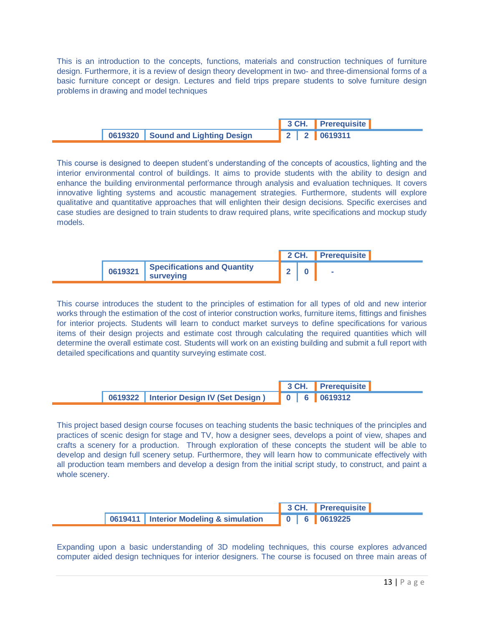This is an introduction to the concepts, functions, materials and construction techniques of furniture design. Furthermore, it is a review of design theory development in two- and three-dimensional forms of a basic furniture concept or design. Lectures and field trips prepare students to solve furniture design problems in drawing and model techniques

|                                   |  | 3 CH. Prerequisite      |
|-----------------------------------|--|-------------------------|
| 0619320 Sound and Lighting Design |  | $2 \mid 2 \mid 0619311$ |

This course is designed to deepen student's understanding of the concepts of acoustics, lighting and the interior environmental control of buildings. It aims to provide students with the ability to design and enhance the building environmental performance through analysis and evaluation techniques. It covers innovative lighting systems and acoustic management strategies. Furthermore, students will explore qualitative and quantitative approaches that will enlighten their design decisions. Specific exercises and case studies are designed to train students to draw required plans, write specifications and mockup study models.

|         |                                          |  |  | 2 CH. Prerequisite |  |
|---------|------------------------------------------|--|--|--------------------|--|
| 0619321 | Specifications and Quantity<br>surveying |  |  |                    |  |

This course introduces the student to the principles of estimation for all types of old and new interior works through the estimation of the cost of interior construction works, furniture items, fittings and finishes for interior projects. Students will learn to conduct market surveys to define specifications for various items of their design projects and estimate cost through calculating the required quantities which will determine the overall estimate cost. Students will work on an existing building and submit a full report with detailed specifications and quantity surveying estimate cost.

|                                                       |  | 3 CH. Prerequisite |
|-------------------------------------------------------|--|--------------------|
| 0619322   Interior Design IV (Set Design) 0 6 0619312 |  |                    |

This project based design course focuses on teaching students the basic techniques of the principles and practices of scenic design for stage and TV, how a designer sees, develops a point of view, shapes and crafts a scenery for a production. Through exploration of these concepts the student will be able to develop and design full scenery setup. Furthermore, they will learn how to communicate effectively with all production team members and develop a design from the initial script study, to construct, and paint a whole scenery.

|                                          |  | 3 CH. Prerequisite |
|------------------------------------------|--|--------------------|
| 0619411   Interior Modeling & simulation |  |                    |

Expanding upon a basic understanding of 3D modeling techniques, this course explores advanced computer aided design techniques for interior designers. The course is focused on three main areas of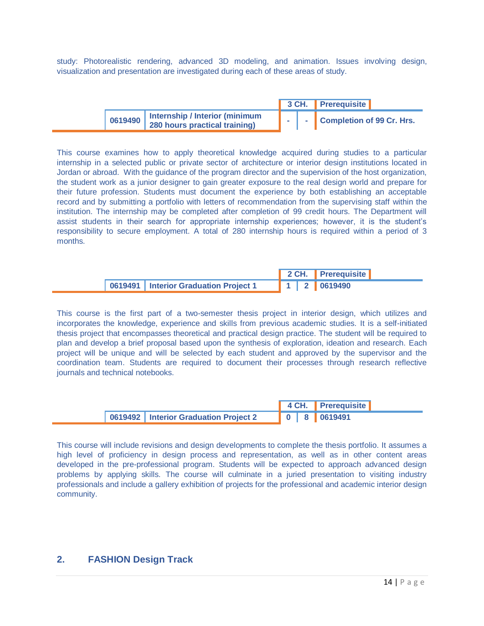study: Photorealistic rendering, advanced 3D modeling, and animation. Issues involving design, visualization and presentation are investigated during each of these areas of study.

|                       |                                                                 | 3 CH. 1 | <b>Prerequisite</b>       |  |
|-----------------------|-----------------------------------------------------------------|---------|---------------------------|--|
| $\frac{1}{2}$ 0619490 | Internship / Interior (minimum<br>280 hours practical training) |         | Completion of 99 Cr. Hrs. |  |

This course examines how to apply theoretical knowledge acquired during studies to a particular internship in a selected public or private sector of architecture or interior design institutions located in Jordan or abroad. With the guidance of the program director and the supervision of the host organization, the student work as a junior designer to gain greater exposure to the real design world and prepare for their future profession. Students must document the experience by both establishing an acceptable record and by submitting a portfolio with letters of recommendation from the supervising staff within the institution. The internship may be completed after completion of 99 credit hours. The Department will assist students in their search for appropriate internship experiences; however, it is the student's responsibility to secure employment. A total of 280 internship hours is required within a period of 3 months.

|                                         |  | 2 CH. Prerequisite                                                                                                                                                        |  |
|-----------------------------------------|--|---------------------------------------------------------------------------------------------------------------------------------------------------------------------------|--|
| 0619491   Interior Graduation Project 1 |  | $\begin{array}{ c c c c c c c c } \hline \multicolumn{1}{ c }{\textbf{1}} & \multicolumn{1}{ c }{\textbf{2}} & \multicolumn{1}{ c }{\textbf{0619490}} \hline \end{array}$ |  |

This course is the first part of a two-semester thesis project in interior design, which utilizes and incorporates the knowledge, experience and skills from previous academic studies. It is a self-initiated thesis project that encompasses theoretical and practical design practice. The student will be required to plan and develop a brief proposal based upon the synthesis of exploration, ideation and research. Each project will be unique and will be selected by each student and approved by the supervisor and the coordination team. Students are required to document their processes through research reflective journals and technical notebooks.

|                                         |  |  | 4 CH. Prerequisite |  |
|-----------------------------------------|--|--|--------------------|--|
| 0619492   Interior Graduation Project 2 |  |  | 0 8 0619491        |  |

This course will include revisions and design developments to complete the thesis portfolio. It assumes a high level of proficiency in design process and representation, as well as in other content areas developed in the pre-professional program. Students will be expected to approach advanced design problems by applying skills. The course will culminate in a juried presentation to visiting industry professionals and include a gallery exhibition of projects for the professional and academic interior design community.

#### **2. FASHION Design Track**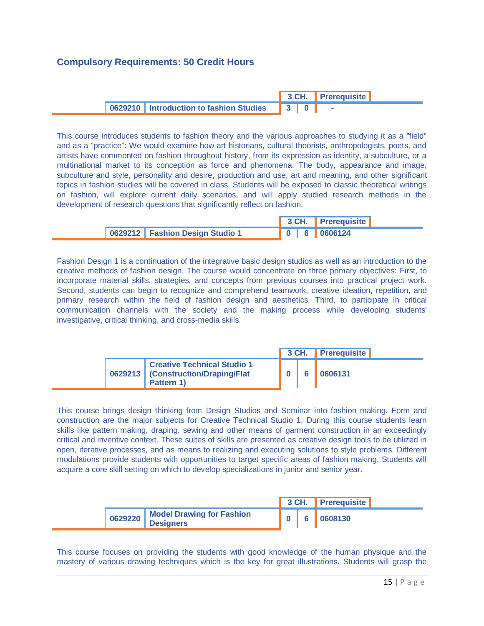#### **Compulsory Requirements: 50 Credit Hours**

|  |                                                        |                           |  | 3 CH. Prerequisite |  |
|--|--------------------------------------------------------|---------------------------|--|--------------------|--|
|  | <sup>1</sup> 0629210   Introduction to fashion Studies | $\parallel$ 3 $\parallel$ |  |                    |  |

This course introduces students to fashion theory and the various approaches to studying it as a "field" and as a "practice": We would examine how art historians, cultural theorists, anthropologists, poets, and artists have commented on fashion throughout history, from its expression as identity, a subculture, or a multinational market to its conception as force and phenomena. The body, appearance and image, subculture and style, personality and desire, production and use, art and meaning, and other significant topics in fashion studies will be covered in class. Students will be exposed to classic theoretical writings on fashion, will explore current daily scenarios, and will apply studied research methods in the development of research questions that significantly reflect on fashion.

|                                   |  | 3 CH. Prerequisite |  |
|-----------------------------------|--|--------------------|--|
| 0629212   Fashion Design Studio 1 |  |                    |  |

Fashion Design 1 is a continuation of the integrative basic design studios as well as an introduction to the creative methods of fashion design. The course would concentrate on three primary objectives: First, to incorporate material skills, strategies, and concepts from previous courses into practical project work. Second, students can begin to recognize and comprehend teamwork, creative ideation, repetition, and primary research within the field of fashion design and aesthetics. Third, to participate in critical communication channels with the society and the making process while developing students' investigative, critical thinking, and cross-media skills.

|  |                                                                                          |  | 3 CH. Prerequisite |
|--|------------------------------------------------------------------------------------------|--|--------------------|
|  | <b>Creative Technical Studio 1</b><br>0629213   (Construction/Draping/Flat<br>Pattern 1) |  | 0606131            |

This course brings design thinking from Design Studios and Seminar into fashion making. Form and construction are the major subjects for Creative Technical Studio 1. During this course students learn skills like pattern making, draping, sewing and other means of garment construction in an exceedingly critical and inventive context. These suites of skills are presented as creative design tools to be utilized in open, iterative processes, and as means to realizing and executing solutions to style problems. Different modulations provide students with opportunities to target specific areas of fashion making. Students will acquire a core skill setting on which to develop specializations in junior and senior year.

|  |                                                         |  | 3 CH. Prerequisite |  |
|--|---------------------------------------------------------|--|--------------------|--|
|  | 0629220   Model Drawing for Fashion<br><b>Designers</b> |  | 0608130            |  |

This course focuses on providing the students with good knowledge of the human physique and the mastery of various drawing techniques which is the key for great illustrations. Students will grasp the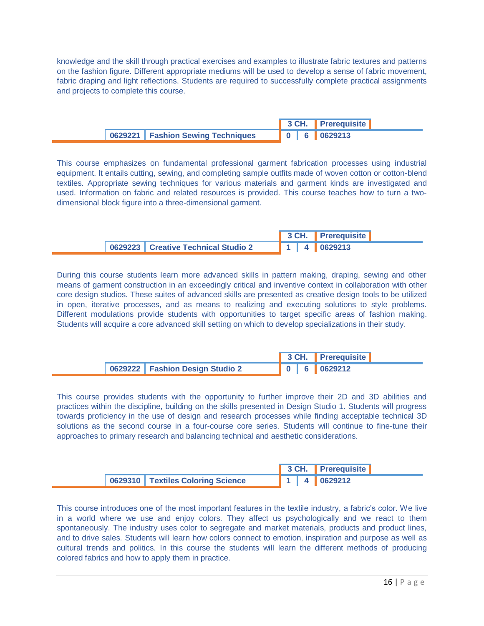knowledge and the skill through practical exercises and examples to illustrate fabric textures and patterns on the fashion figure. Different appropriate mediums will be used to develop a sense of fabric movement, fabric draping and light reflections. Students are required to successfully complete practical assignments and projects to complete this course.

|                                     |  | 3 CH. Prerequisite |
|-------------------------------------|--|--------------------|
| 0629221   Fashion Sewing Techniques |  |                    |

This course emphasizes on fundamental professional garment fabrication processes using industrial equipment. It entails cutting, sewing, and completing sample outfits made of woven cotton or cotton-blend textiles. Appropriate sewing techniques for various materials and garment kinds are investigated and used. Information on fabric and related resources is provided. This course teaches how to turn a twodimensional block figure into a three-dimensional garment.

|                                       |  | 3 CH. Prerequisite                              |
|---------------------------------------|--|-------------------------------------------------|
| 0629223   Creative Technical Studio 2 |  | $\parallel$ 1 $\parallel$ 4 $\parallel$ 0629213 |

During this course students learn more advanced skills in pattern making, draping, sewing and other means of garment construction in an exceedingly critical and inventive context in collaboration with other core design studios. These suites of advanced skills are presented as creative design tools to be utilized in open, iterative processes, and as means to realizing and executing solutions to style problems. Different modulations provide students with opportunities to target specific areas of fashion making. Students will acquire a core advanced skill setting on which to develop specializations in their study.

|                                   | 3 CH. Prerequisite |
|-----------------------------------|--------------------|
| 0629222   Fashion Design Studio 2 |                    |

This course provides students with the opportunity to further improve their 2D and 3D abilities and practices within the discipline, building on the skills presented in Design Studio 1. Students will progress towards proficiency in the use of design and research processes while finding acceptable technical 3D solutions as the second course in a four-course core series. Students will continue to fine-tune their approaches to primary research and balancing technical and aesthetic considerations.

|                                     | 3 CH. Prerequisite                              |
|-------------------------------------|-------------------------------------------------|
| 0629310   Textiles Coloring Science | $\parallel$ 1 $\parallel$ 4 $\parallel$ 0629212 |

This course introduces one of the most important features in the textile industry, a fabric's color. We live in a world where we use and enjoy colors. They affect us psychologically and we react to them spontaneously. The industry uses color to segregate and market materials, products and product lines, and to drive sales. Students will learn how colors connect to emotion, inspiration and purpose as well as cultural trends and politics. In this course the students will learn the different methods of producing colored fabrics and how to apply them in practice.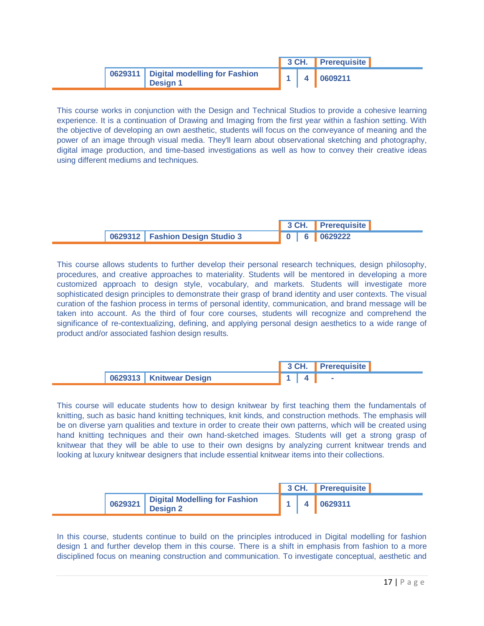|                                                            |  | 3 CH. Prerequisite |  |
|------------------------------------------------------------|--|--------------------|--|
| 0629311   Digital modelling for Fashion<br><b>Design 1</b> |  | 4 0609211          |  |

This course works in conjunction with the Design and Technical Studios to provide a cohesive learning experience. It is a continuation of Drawing and Imaging from the first year within a fashion setting. With the objective of developing an own aesthetic, students will focus on the conveyance of meaning and the power of an image through visual media. They'll learn about observational sketching and photography, digital image production, and time-based investigations as well as how to convey their creative ideas using different mediums and techniques.

|  |                                   |  | 3 CH. Prerequisite |
|--|-----------------------------------|--|--------------------|
|  | 0629312   Fashion Design Studio 3 |  | 0 6 0629222        |

This course allows students to further develop their personal research techniques, design philosophy, procedures, and creative approaches to materiality. Students will be mentored in developing a more customized approach to design style, vocabulary, and markets. Students will investigate more sophisticated design principles to demonstrate their grasp of brand identity and user contexts. The visual curation of the fashion process in terms of personal identity, communication, and brand message will be taken into account. As the third of four core courses, students will recognize and comprehend the significance of re-contextualizing, defining, and applying personal design aesthetics to a wide range of product and/or associated fashion design results.

|                           | 3 CH. Prerequisite |
|---------------------------|--------------------|
| 0629313   Knitwear Design |                    |

This course will educate students how to design knitwear by first teaching them the fundamentals of knitting, such as basic hand knitting techniques, knit kinds, and construction methods. The emphasis will be on diverse yarn qualities and texture in order to create their own patterns, which will be created using hand knitting techniques and their own hand-sketched images. Students will get a strong grasp of knitwear that they will be able to use to their own designs by analyzing current knitwear trends and looking at luxury knitwear designers that include essential knitwear items into their collections.

|         |                                                  |  | 3 CH. Prerequisite |  |
|---------|--------------------------------------------------|--|--------------------|--|
| 0629321 | Digital Modelling for Fashion<br><b>Design 2</b> |  | 4 0629311          |  |

In this course, students continue to build on the principles introduced in Digital modelling for fashion design 1 and further develop them in this course. There is a shift in emphasis from fashion to a more disciplined focus on meaning construction and communication. To investigate conceptual, aesthetic and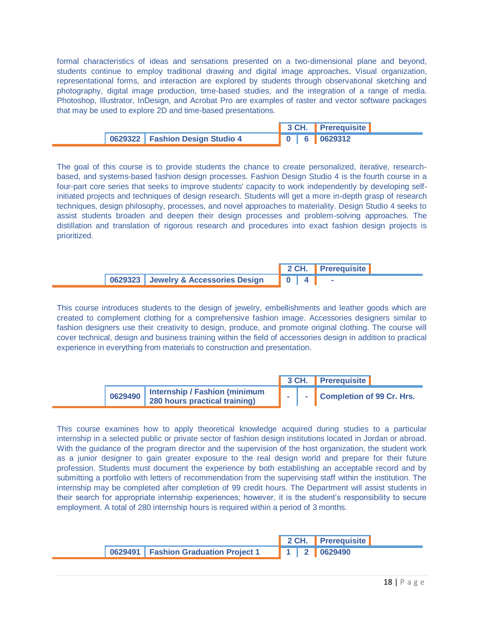formal characteristics of ideas and sensations presented on a two-dimensional plane and beyond, students continue to employ traditional drawing and digital image approaches. Visual organization, representational forms, and interaction are explored by students through observational sketching and photography, digital image production, time-based studies, and the integration of a range of media. Photoshop, Illustrator, InDesign, and Acrobat Pro are examples of raster and vector software packages that may be used to explore 2D and time-based presentations.

|                                   |  | 3 CH. Prerequisite |  |
|-----------------------------------|--|--------------------|--|
| 0629322   Fashion Design Studio 4 |  | 0 6 0629312        |  |

The goal of this course is to provide students the chance to create personalized, iterative, researchbased, and systems-based fashion design processes. Fashion Design Studio 4 is the fourth course in a four-part core series that seeks to improve students' capacity to work independently by developing selfinitiated projects and techniques of design research. Students will get a more in-depth grasp of research techniques, design philosophy, processes, and novel approaches to materiality. Design Studio 4 seeks to assist students broaden and deepen their design processes and problem-solving approaches. The distillation and translation of rigorous research and procedures into exact fashion design projects is prioritized.

|  |                                         |  |  | 2 CH. Prerequisite |  |
|--|-----------------------------------------|--|--|--------------------|--|
|  | 0629323 Jewelry & Accessories Design 04 |  |  |                    |  |

This course introduces students to the design of jewelry, embellishments and leather goods which are created to complement clothing for a comprehensive fashion image. Accessories designers similar to fashion designers use their creativity to design, produce, and promote original clothing. The course will cover technical, design and business training within the field of accessories design in addition to practical experience in everything from materials to construction and presentation.

|         |                                                                |  | 3 CH. Prerequisite          |  |
|---------|----------------------------------------------------------------|--|-----------------------------|--|
| 0629490 | Internship / Fashion (minimum<br>280 hours practical training) |  | - Completion of 99 Cr. Hrs. |  |

This course examines how to apply theoretical knowledge acquired during studies to a particular internship in a selected public or private sector of fashion design institutions located in Jordan or abroad. With the guidance of the program director and the supervision of the host organization, the student work as a junior designer to gain greater exposure to the real design world and prepare for their future profession. Students must document the experience by both establishing an acceptable record and by submitting a portfolio with letters of recommendation from the supervising staff within the institution. The internship may be completed after completion of 99 credit hours. The Department will assist students in their search for appropriate internship experiences; however, it is the student's responsibility to secure employment. A total of 280 internship hours is required within a period of 3 months.

|                                        |  | 2 CH. Prerequisite                              |
|----------------------------------------|--|-------------------------------------------------|
| 0629491   Fashion Graduation Project 1 |  | $\parallel$ 1 $\parallel$ 2 $\parallel$ 0629490 |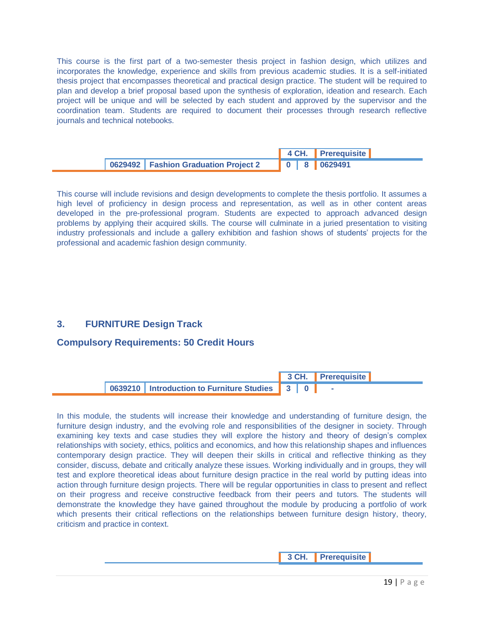This course is the first part of a two-semester thesis project in fashion design, which utilizes and incorporates the knowledge, experience and skills from previous academic studies. It is a self-initiated thesis project that encompasses theoretical and practical design practice. The student will be required to plan and develop a brief proposal based upon the synthesis of exploration, ideation and research. Each project will be unique and will be selected by each student and approved by the supervisor and the coordination team. Students are required to document their processes through research reflective journals and technical notebooks.

|                                        |  | 4 CH. Prerequisite |  |
|----------------------------------------|--|--------------------|--|
| 0629492   Fashion Graduation Project 2 |  | 0 8 0629491        |  |

This course will include revisions and design developments to complete the thesis portfolio. It assumes a high level of proficiency in design process and representation, as well as in other content areas developed in the pre-professional program. Students are expected to approach advanced design problems by applying their acquired skills. The course will culminate in a juried presentation to visiting industry professionals and include a gallery exhibition and fashion shows of students' projects for the professional and academic fashion design community.

## **3. FURNITURE Design Track**

#### **Compulsory Requirements: 50 Credit Hours**



In this module, the students will increase their knowledge and understanding of furniture design, the furniture design industry, and the evolving role and responsibilities of the designer in society. Through examining key texts and case studies they will explore the history and theory of design's complex relationships with society, ethics, politics and economics, and how this relationship shapes and influences contemporary design practice. They will deepen their skills in critical and reflective thinking as they consider, discuss, debate and critically analyze these issues. Working individually and in groups, they will test and explore theoretical ideas about furniture design practice in the real world by putting ideas into action through furniture design projects. There will be regular opportunities in class to present and reflect on their progress and receive constructive feedback from their peers and tutors. The students will demonstrate the knowledge they have gained throughout the module by producing a portfolio of work which presents their critical reflections on the relationships between furniture design history, theory, criticism and practice in context.

**3 CH. Prerequisite**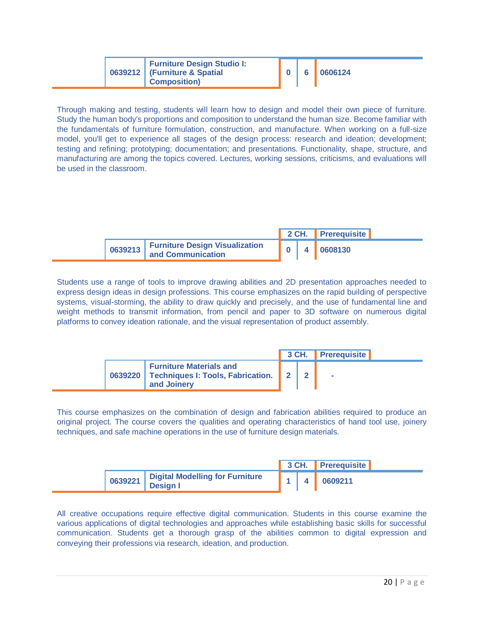|  | <b>Furniture Design Studio I:</b><br>0639212   (Furniture & Spatial<br><b>Composition</b> ) |  | 6. | 0606124 |
|--|---------------------------------------------------------------------------------------------|--|----|---------|
|--|---------------------------------------------------------------------------------------------|--|----|---------|

Through making and testing, students will learn how to design and model their own piece of furniture. Study the human body's proportions and composition to understand the human size. Become familiar with the fundamentals of furniture formulation, construction, and manufacture. When working on a full-size model, you'll get to experience all stages of the design process: research and ideation; development; testing and refining; prototyping; documentation; and presentations. Functionality, shape, structure, and manufacturing are among the topics covered. Lectures, working sessions, criticisms, and evaluations will be used in the classroom.

|                                                             |  | 2 CH. Prerequisite |  |
|-------------------------------------------------------------|--|--------------------|--|
| 0639213 Furniture Design Visualization<br>and Communication |  | 4 0608130          |  |

Students use a range of tools to improve drawing abilities and 2D presentation approaches needed to express design ideas in design professions. This course emphasizes on the rapid building of perspective systems, visual-storming, the ability to draw quickly and precisely, and the use of fundamental line and weight methods to transmit information, from pencil and paper to 3D software on numerous digital platforms to convey ideation rationale, and the visual representation of product assembly.

|  |                                                                                                        |  |  | 3 CH. Prerequisite |  |
|--|--------------------------------------------------------------------------------------------------------|--|--|--------------------|--|
|  | <b>Furniture Materials and</b><br>0639220   Techniques I: Tools, Fabrication.   2   2  <br>and Joinery |  |  |                    |  |

This course emphasizes on the combination of design and fabrication abilities required to produce an original project. The course covers the qualities and operating characteristics of hand tool use, joinery techniques, and safe machine operations in the use of furniture design materials.

|         |                                                    |  | 3 CH. Prerequisite |
|---------|----------------------------------------------------|--|--------------------|
| 0639221 | Digital Modelling for Furniture<br><b>Design I</b> |  | 0609211            |

All creative occupations require effective digital communication. Students in this course examine the various applications of digital technologies and approaches while establishing basic skills for successful communication. Students get a thorough grasp of the abilities common to digital expression and conveying their professions via research, ideation, and production.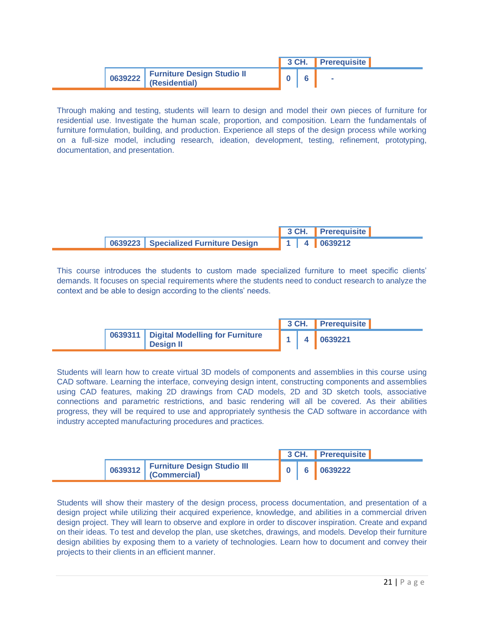|                                    |  | 3 CH. Prerequisite |  |
|------------------------------------|--|--------------------|--|
| 0639222 Furniture Design Studio II |  |                    |  |

Through making and testing, students will learn to design and model their own pieces of furniture for residential use. Investigate the human scale, proportion, and composition. Learn the fundamentals of furniture formulation, building, and production. Experience all steps of the design process while working on a full-size model, including research, ideation, development, testing, refinement, prototyping, documentation, and presentation.

|                                        |  | 3 CH. Prerequisite          |  |
|----------------------------------------|--|-----------------------------|--|
| 0639223   Specialized Furniture Design |  | $\parallel$ 1   4   0639212 |  |

This course introduces the students to custom made specialized furniture to meet specific clients' demands. It focuses on special requirements where the students need to conduct research to analyze the context and be able to design according to the clients' needs.

|                                                               |  | 3 CH. Prerequisite                              |  |
|---------------------------------------------------------------|--|-------------------------------------------------|--|
| 0639311   Digital Modelling for Furniture<br><b>Design II</b> |  | $\parallel$ 1 $\parallel$ 4 $\parallel$ 0639221 |  |

Students will learn how to create virtual 3D models of components and assemblies in this course using CAD software. Learning the interface, conveying design intent, constructing components and assemblies using CAD features, making 2D drawings from CAD models, 2D and 3D sketch tools, associative connections and parametric restrictions, and basic rendering will all be covered. As their abilities progress, they will be required to use and appropriately synthesis the CAD software in accordance with industry accepted manufacturing procedures and practices.

|                                     |  | 3 CH. Prerequisite |
|-------------------------------------|--|--------------------|
| 0639312 Furniture Design Studio III |  | $6 \t 60639222$    |

Students will show their mastery of the design process, process documentation, and presentation of a design project while utilizing their acquired experience, knowledge, and abilities in a commercial driven design project. They will learn to observe and explore in order to discover inspiration. Create and expand on their ideas. To test and develop the plan, use sketches, drawings, and models. Develop their furniture design abilities by exposing them to a variety of technologies. Learn how to document and convey their projects to their clients in an efficient manner.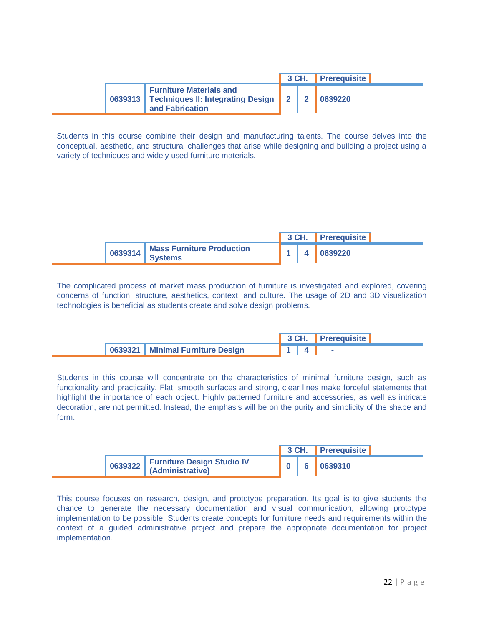|  |                                                                                                                           |  | 3 CH. Prerequisite |  |
|--|---------------------------------------------------------------------------------------------------------------------------|--|--------------------|--|
|  | <b>Furniture Materials and</b><br>0639313   Techniques II: Integrating Design   2   2   0639220<br><b>and Fabrication</b> |  |                    |  |

Students in this course combine their design and manufacturing talents. The course delves into the conceptual, aesthetic, and structural challenges that arise while designing and building a project using a variety of techniques and widely used furniture materials.

|                  |                                                    |  | 3 CH. Prerequisite |
|------------------|----------------------------------------------------|--|--------------------|
| $\sqrt{0639314}$ | <b>Mass Furniture Production</b><br><b>Systems</b> |  | 0639220            |

The complicated process of market mass production of furniture is investigated and explored, covering concerns of function, structure, aesthetics, context, and culture. The usage of 2D and 3D visualization technologies is beneficial as students create and solve design problems.

|                                    |  | 3 CH. Prerequisite |
|------------------------------------|--|--------------------|
| 0639321   Minimal Furniture Design |  |                    |

Students in this course will concentrate on the characteristics of minimal furniture design, such as functionality and practicality. Flat, smooth surfaces and strong, clear lines make forceful statements that highlight the importance of each object. Highly patterned furniture and accessories, as well as intricate decoration, are not permitted. Instead, the emphasis will be on the purity and simplicity of the shape and form.

|                                    |  | 3 CH. Prerequisite |  |
|------------------------------------|--|--------------------|--|
| 0639322 Furniture Design Studio IV |  |                    |  |

This course focuses on research, design, and prototype preparation. Its goal is to give students the chance to generate the necessary documentation and visual communication, allowing prototype implementation to be possible. Students create concepts for furniture needs and requirements within the context of a guided administrative project and prepare the appropriate documentation for project implementation.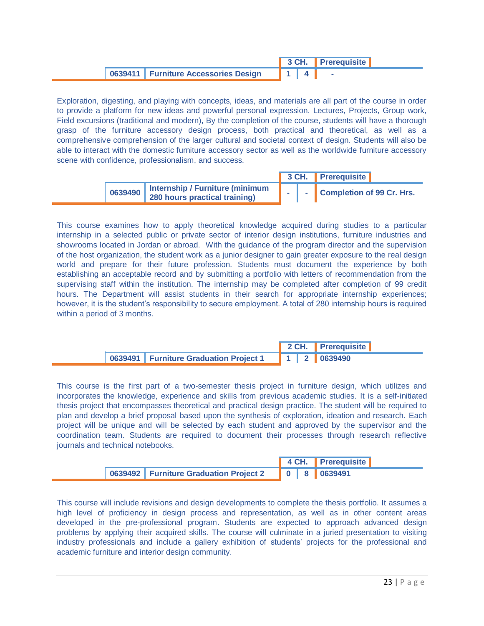|  |                                      |  | 3 CH. Prerequisite |  |
|--|--------------------------------------|--|--------------------|--|
|  | 0639411 Furniture Accessories Design |  |                    |  |

Exploration, digesting, and playing with concepts, ideas, and materials are all part of the course in order to provide a platform for new ideas and powerful personal expression. Lectures, Projects, Group work, Field excursions (traditional and modern), By the completion of the course, students will have a thorough grasp of the furniture accessory design process, both practical and theoretical, as well as a comprehensive comprehension of the larger cultural and societal context of design. Students will also be able to interact with the domestic furniture accessory sector as well as the worldwide furniture accessory scene with confidence, professionalism, and success.

|         |                                                                  |  | 3 CH. Prerequisite        |  |
|---------|------------------------------------------------------------------|--|---------------------------|--|
| 0639490 | Internship / Furniture (minimum<br>280 hours practical training) |  | Completion of 99 Cr. Hrs. |  |

This course examines how to apply theoretical knowledge acquired during studies to a particular internship in a selected public or private sector of interior design institutions, furniture industries and showrooms located in Jordan or abroad. With the guidance of the program director and the supervision of the host organization, the student work as a junior designer to gain greater exposure to the real design world and prepare for their future profession. Students must document the experience by both establishing an acceptable record and by submitting a portfolio with letters of recommendation from the supervising staff within the institution. The internship may be completed after completion of 99 credit hours. The Department will assist students in their search for appropriate internship experiences; however, it is the student's responsibility to secure employment. A total of 280 internship hours is required within a period of 3 months.

|                                          |  | 2 CH. Prerequisite          |
|------------------------------------------|--|-----------------------------|
| 0639491   Furniture Graduation Project 1 |  | $\parallel$ 1   2   0639490 |

This course is the first part of a two-semester thesis project in furniture design, which utilizes and incorporates the knowledge, experience and skills from previous academic studies. It is a self-initiated thesis project that encompasses theoretical and practical design practice. The student will be required to plan and develop a brief proposal based upon the synthesis of exploration, ideation and research. Each project will be unique and will be selected by each student and approved by the supervisor and the coordination team. Students are required to document their processes through research reflective journals and technical notebooks.

|                                          |  | 4 CH. Prerequisite |  |
|------------------------------------------|--|--------------------|--|
| 0639492   Furniture Graduation Project 2 |  | 0 8 0639491        |  |

This course will include revisions and design developments to complete the thesis portfolio. It assumes a high level of proficiency in design process and representation, as well as in other content areas developed in the pre-professional program. Students are expected to approach advanced design problems by applying their acquired skills. The course will culminate in a juried presentation to visiting industry professionals and include a gallery exhibition of students' projects for the professional and academic furniture and interior design community.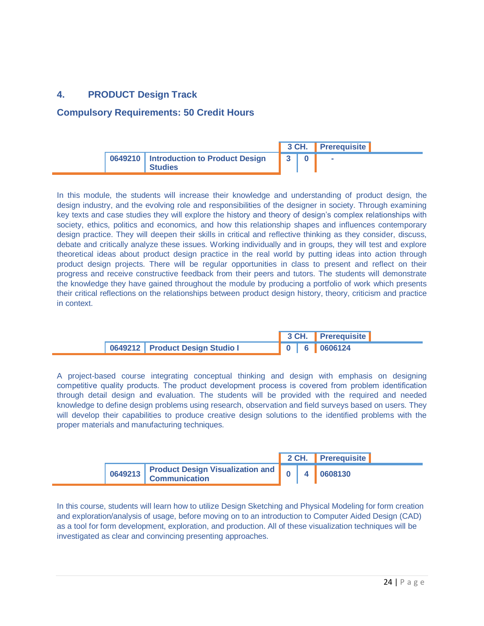# **4. PRODUCT Design Track**

#### **Compulsory Requirements: 50 Credit Hours**

|                                                            |           | 3 CH. Prerequisite |  |
|------------------------------------------------------------|-----------|--------------------|--|
| 0649210   Introduction to Product Design<br><b>Studies</b> | $3 \cdot$ | ٠                  |  |

In this module, the students will increase their knowledge and understanding of product design, the design industry, and the evolving role and responsibilities of the designer in society. Through examining key texts and case studies they will explore the history and theory of design's complex relationships with society, ethics, politics and economics, and how this relationship shapes and influences contemporary design practice. They will deepen their skills in critical and reflective thinking as they consider, discuss, debate and critically analyze these issues. Working individually and in groups, they will test and explore theoretical ideas about product design practice in the real world by putting ideas into action through product design projects. There will be regular opportunities in class to present and reflect on their progress and receive constructive feedback from their peers and tutors. The students will demonstrate the knowledge they have gained throughout the module by producing a portfolio of work which presents their critical reflections on the relationships between product design history, theory, criticism and practice in context.

|  |                                   |  |  | 3 CH. Prerequisite |  |
|--|-----------------------------------|--|--|--------------------|--|
|  | 0649212   Product Design Studio I |  |  | 0 6 0606124        |  |

A project-based course integrating conceptual thinking and design with emphasis on designing competitive quality products. The product development process is covered from problem identification through detail design and evaluation. The students will be provided with the required and needed knowledge to define design problems using research, observation and field surveys based on users. They will develop their capabilities to produce creative design solutions to the identified problems with the proper materials and manufacturing techniques.

|                                                      |  | 2 CH. Prerequisite |
|------------------------------------------------------|--|--------------------|
| 0649213 Product Design Visualization and 0 4 0608130 |  |                    |

In this course, students will learn how to utilize Design Sketching and Physical Modeling for form creation and exploration/analysis of usage, before moving on to an introduction to Computer Aided Design (CAD) as a tool for form development, exploration, and production. All of these visualization techniques will be investigated as clear and convincing presenting approaches.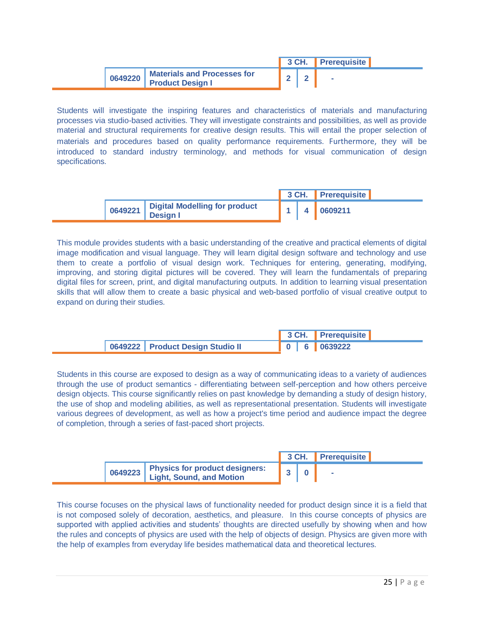|         |                                                         |  | 3 CH. Prerequisite |  |
|---------|---------------------------------------------------------|--|--------------------|--|
| 0649220 | <b>Materials and Processes for<br/>Product Design I</b> |  | $\sim$             |  |

Students will investigate the inspiring features and characteristics of materials and manufacturing processes via studio-based activities. They will investigate constraints and possibilities, as well as provide material and structural requirements for creative design results. This will entail the proper selection of materials and procedures based on quality performance requirements. Furthermore, they will be introduced to standard industry terminology, and methods for visual communication of design specifications.

|  |                                                            |  |  | 3 CH. Prerequisite |  |
|--|------------------------------------------------------------|--|--|--------------------|--|
|  | 0649221   Digital Modelling for product<br><b>Design I</b> |  |  | 0609211            |  |

This module provides students with a basic understanding of the creative and practical elements of digital image modification and visual language. They will learn digital design software and technology and use them to create a portfolio of visual design work. Techniques for entering, generating, modifying, improving, and storing digital pictures will be covered. They will learn the fundamentals of preparing digital files for screen, print, and digital manufacturing outputs. In addition to learning visual presentation skills that will allow them to create a basic physical and web-based portfolio of visual creative output to expand on during their studies.

|                                  | 3 CH. Prerequisite |
|----------------------------------|--------------------|
| 0649222 Product Design Studio II |                    |

Students in this course are exposed to design as a way of communicating ideas to a variety of audiences through the use of product semantics - differentiating between self-perception and how others perceive design objects. This course significantly relies on past knowledge by demanding a study of design history, the use of shop and modeling abilities, as well as representational presentation. Students will investigate various degrees of development, as well as how a project's time period and audience impact the degree of completion, through a series of fast-paced short projects.

|                                                                    |  |  | 3 CH. Prerequisite |  |
|--------------------------------------------------------------------|--|--|--------------------|--|
| 0649223 Physics for product designers:<br>Light, Sound, and Motion |  |  |                    |  |

This course focuses on the physical laws of functionality needed for product design since it is a field that is not composed solely of decoration, aesthetics, and pleasure. In this course concepts of physics are supported with applied activities and students' thoughts are directed usefully by showing when and how the rules and concepts of physics are used with the help of objects of design. Physics are given more with the help of examples from everyday life besides mathematical data and theoretical lectures.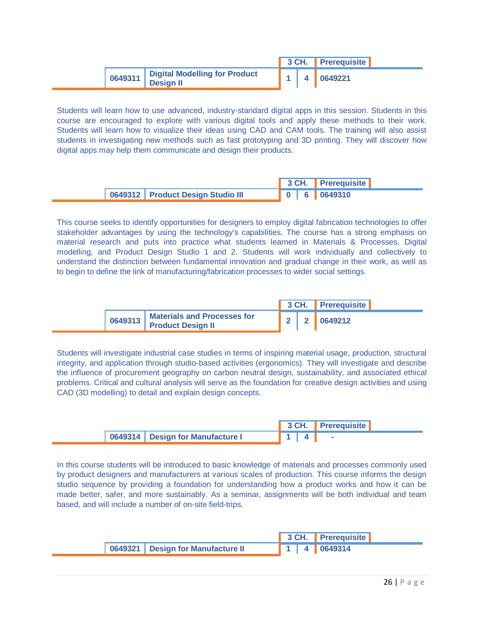|                                       |  | 3 CH. Prerequisite |  |
|---------------------------------------|--|--------------------|--|
| 0649311 Digital Modelling for Product |  | 4 0649221          |  |

Students will learn how to use advanced, industry-standard digital apps in this session. Students in this course are encouraged to explore with various digital tools and apply these methods to their work. Students will learn how to visualize their ideas using CAD and CAM tools. The training will also assist students in investigating new methods such as fast prototyping and 3D printing. They will discover how digital apps may help them communicate and design their products.

|  |                                     |  |  | 3 CH. Prerequisite |  |
|--|-------------------------------------|--|--|--------------------|--|
|  | 0649312   Product Design Studio III |  |  |                    |  |

This course seeks to identify opportunities for designers to employ digital fabrication technologies to offer stakeholder advantages by using the technology's capabilities. The course has a strong emphasis on material research and puts into practice what students learned in Materials & Processes, Digital modelling, and Product Design Studio 1 and 2. Students will work individually and collectively to understand the distinction between fundamental innovation and gradual change in their work, as well as to begin to define the link of manufacturing/fabrication processes to wider social settings.

|         |                                                                |  | 3 CH. Prerequisite |  |
|---------|----------------------------------------------------------------|--|--------------------|--|
| 0649313 | <b>Materials and Processes for</b><br><b>Product Design II</b> |  | <b>2</b> 2 0649212 |  |

Students will investigate industrial case studies in terms of inspiring material usage, production, structural integrity, and application through studio-based activities (ergonomics). They will investigate and describe the influence of procurement geography on carbon neutral design, sustainability, and associated ethical problems. Critical and cultural analysis will serve as the foundation for creative design activities and using CAD (3D modelling) to detail and explain design concepts.

|                                    | 3 CH. Prerequisite |
|------------------------------------|--------------------|
| 0649314   Design for Manufacture I |                    |

In this course students will be introduced to basic knowledge of materials and processes commonly used by product designers and manufacturers at various scales of production. This course informs the design studio sequence by providing a foundation for understanding how a product works and how it can be made better, safer, and more sustainably. As a seminar, assignments will be both individual and team based, and will include a number of on-site field-trips.

|                                     |  | 3 CH. Prerequisite          |
|-------------------------------------|--|-----------------------------|
| 0649321   Design for Manufacture II |  | $\parallel$ 1   4   0649314 |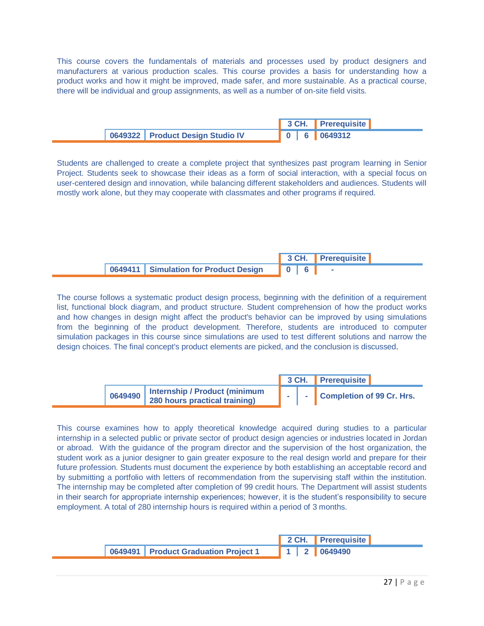This course covers the fundamentals of materials and processes used by product designers and manufacturers at various production scales. This course provides a basis for understanding how a product works and how it might be improved, made safer, and more sustainable. As a practical course, there will be individual and group assignments, as well as a number of on-site field visits.

|                                    |  | 3 CH. Prerequisite |
|------------------------------------|--|--------------------|
| 0649322   Product Design Studio IV |  |                    |

Students are challenged to create a complete project that synthesizes past program learning in Senior Project. Students seek to showcase their ideas as a form of social interaction, with a special focus on user-centered design and innovation, while balancing different stakeholders and audiences. Students will mostly work alone, but they may cooperate with classmates and other programs if required.

|                                         |  |  | 3 CH. Prerequisite |  |
|-----------------------------------------|--|--|--------------------|--|
| 0649411   Simulation for Product Design |  |  |                    |  |

The course follows a systematic product design process, beginning with the definition of a requirement list, functional block diagram, and product structure. Student comprehension of how the product works and how changes in design might affect the product's behavior can be improved by using simulations from the beginning of the product development. Therefore, students are introduced to computer simulation packages in this course since simulations are used to test different solutions and narrow the design choices. The final concept's product elements are picked, and the conclusion is discussed.

|         |                                                                |  |  | 3 CH. Prerequisite          |  |
|---------|----------------------------------------------------------------|--|--|-----------------------------|--|
| 0649490 | Internship / Product (minimum<br>280 hours practical training) |  |  | - Completion of 99 Cr. Hrs. |  |

This course examines how to apply theoretical knowledge acquired during studies to a particular internship in a selected public or private sector of product design agencies or industries located in Jordan or abroad. With the guidance of the program director and the supervision of the host organization, the student work as a junior designer to gain greater exposure to the real design world and prepare for their future profession. Students must document the experience by both establishing an acceptable record and by submitting a portfolio with letters of recommendation from the supervising staff within the institution. The internship may be completed after completion of 99 credit hours. The Department will assist students in their search for appropriate internship experiences; however, it is the student's responsibility to secure employment. A total of 280 internship hours is required within a period of 3 months.

|                                        |  |  | 2 CH. Prerequisite                                                |
|----------------------------------------|--|--|-------------------------------------------------------------------|
| 0649491   Product Graduation Project 1 |  |  | $\begin{array}{ c c c c c c } \hline \end{array}$ 1   2   0649490 |